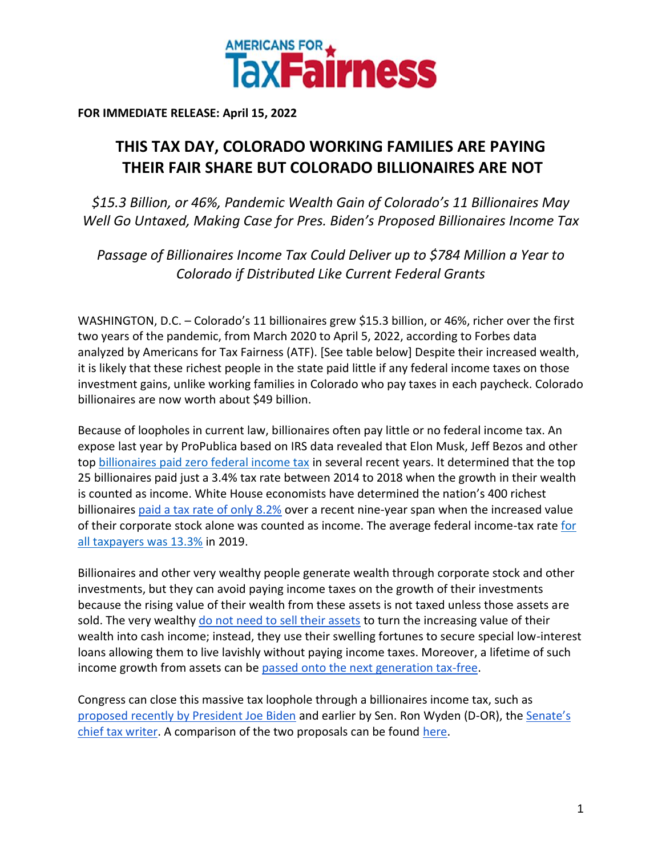

**FOR IMMEDIATE RELEASE: April 15, 2022**

## **THIS TAX DAY, COLORADO WORKING FAMILIES ARE PAYING THEIR FAIR SHARE BUT COLORADO BILLIONAIRES ARE NOT**

*\$15.3 Billion, or 46%, Pandemic Wealth Gain of Colorado's 11 Billionaires May Well Go Untaxed, Making Case for Pres. Biden's Proposed Billionaires Income Tax*

*Passage of Billionaires Income Tax Could Deliver up to \$784 Million a Year to Colorado if Distributed Like Current Federal Grants*

WASHINGTON, D.C. – Colorado's 11 billionaires grew \$15.3 billion, or 46%, richer over the first two years of the pandemic, from March 2020 to April 5, 2022, according to Forbes data analyzed by Americans for Tax Fairness (ATF). [See table below] Despite their increased wealth, it is likely that these richest people in the state paid little if any federal income taxes on those investment gains, unlike working families in Colorado who pay taxes in each paycheck. Colorado billionaires are now worth about \$49 billion.

Because of loopholes in current law, billionaires often pay little or no federal income tax. An expose last year by ProPublica based on IRS data revealed that Elon Musk, Jeff Bezos and other to[p](https://americansfortaxfairness.org/wp-content/uploads/ProPublica-Billionaires-Fact-Sheet-Updated.pdf) [billionaires paid zero federal income tax](https://americansfortaxfairness.org/wp-content/uploads/ProPublica-Billionaires-Fact-Sheet-Updated.pdf) in several recent years. It determined that the top 25 billionaires paid just a 3.4% tax rate between 2014 to 2018 when the growth in their wealth is counted as income. White House economists have determined the nation's 400 richest billionaire[s](https://www.whitehouse.gov/cea/written-materials/2021/09/23/what-is-the-average-federal-individual-income-tax-rate-on-the-wealthiest-americans/) [paid a tax rate of only 8.2%](https://www.whitehouse.gov/cea/written-materials/2021/09/23/what-is-the-average-federal-individual-income-tax-rate-on-the-wealthiest-americans/) over a recent nine-year span when the increased value of their corporate stock alone was counted as income. The average federal income-tax rat[e](https://taxfoundation.org/summary-latest-federal-income-tax-data-2022-update/) [for](https://taxfoundation.org/summary-latest-federal-income-tax-data-2022-update/)  [all taxpayers was 13.3%](https://taxfoundation.org/summary-latest-federal-income-tax-data-2022-update/) in 2019.

Billionaires and other very wealthy people generate wealth through corporate stock and other investments, but they can avoid paying income taxes on the growth of their investments because the rising value of their wealth from these assets is not taxed unless those assets are sold. The ver[y](https://www.wsj.com/articles/buy-borrow-die-how-rich-americans-live-off-their-paper-wealth-11625909583) wealthy [do not need to sell their assets](https://www.wsj.com/articles/buy-borrow-die-how-rich-americans-live-off-their-paper-wealth-11625909583) to turn the increasing value of their wealth into cash income; instead, they use their swelling fortunes to secure special low-interest loans allowing them to live lavishly without paying income taxes. Moreover, a lifetime of such income growth from assets can b[e](https://americansfortaxfairness.org/issue/stop-protecting-billionaires-close-stepped-basis-loophole/) [passed onto the next generation tax-free.](https://americansfortaxfairness.org/issue/stop-protecting-billionaires-close-stepped-basis-loophole/)

Congress can close this massive tax loophole through a billionaires income tax, such a[s](https://www.whitehouse.gov/omb/briefing-room/2022/03/28/presidents-budget-rewards-work-not-wealth-with-new-billionaire-minimum-income-tax/) [proposed recently by President Joe Biden](https://www.whitehouse.gov/omb/briefing-room/2022/03/28/presidents-budget-rewards-work-not-wealth-with-new-billionaire-minimum-income-tax/) and earlier by Sen. Ron Wyden (D-OR), th[e](https://www.finance.senate.gov/chairmans-news/wyden-unveils-billionaires-income-tax) [Senate's](https://www.finance.senate.gov/chairmans-news/wyden-unveils-billionaires-income-tax)  [chief tax writer.](https://www.finance.senate.gov/chairmans-news/wyden-unveils-billionaires-income-tax) A comparison of the two proposals can be foun[d](https://americansfortaxfairness.org/issue/comparison-biden-wyden-billionaires-income-tax-proposals-short/) [here.](https://americansfortaxfairness.org/issue/comparison-biden-wyden-billionaires-income-tax-proposals-short/)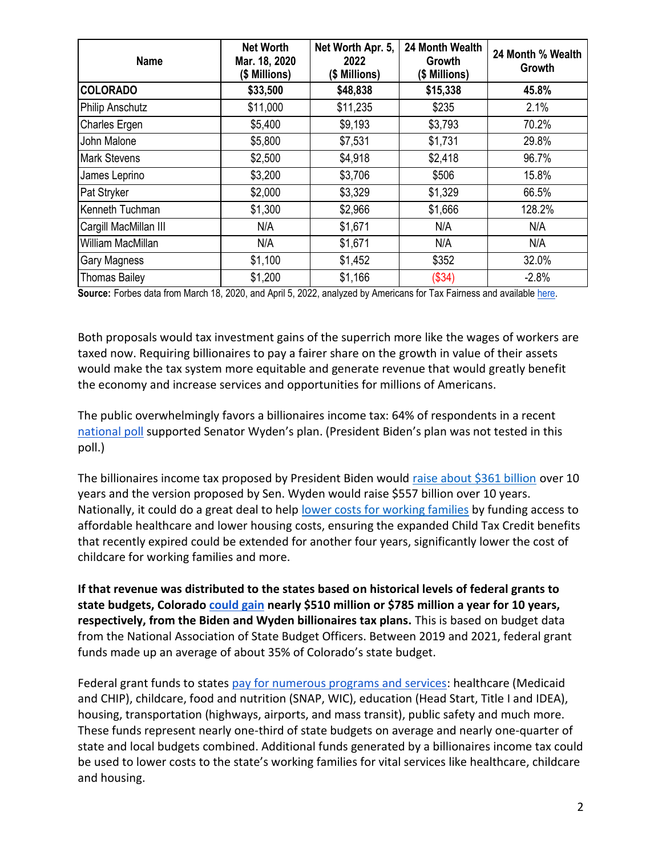| <b>Name</b>           | <b>Net Worth</b><br>Mar. 18, 2020<br>(\$ Millions) | Net Worth Apr. 5,<br>2022<br>(\$ Millions) | 24 Month Wealth<br>Growth<br>(\$ Millions) | 24 Month % Wealth<br>Growth |
|-----------------------|----------------------------------------------------|--------------------------------------------|--------------------------------------------|-----------------------------|
| <b>COLORADO</b>       | \$33,500                                           | \$48,838                                   | \$15,338                                   | 45.8%                       |
| Philip Anschutz       | \$11,000                                           | \$11,235                                   | \$235                                      | 2.1%                        |
| Charles Ergen         | \$5,400                                            | \$9,193                                    | \$3,793                                    | 70.2%                       |
| John Malone           | \$5,800                                            | \$7,531                                    | \$1,731                                    | 29.8%                       |
| <b>Mark Stevens</b>   | \$2,500                                            | \$4,918                                    | \$2,418                                    | 96.7%                       |
| James Leprino         | \$3,200                                            | \$3,706                                    | \$506                                      | 15.8%                       |
| Pat Stryker           | \$2,000                                            | \$3,329                                    | \$1,329                                    | 66.5%                       |
| Kenneth Tuchman       | \$1,300                                            | \$2,966                                    | \$1,666                                    | 128.2%                      |
| Cargill MacMillan III | N/A                                                | \$1,671                                    | N/A                                        | N/A                         |
| William MacMillan     | N/A                                                | \$1,671                                    | N/A                                        | N/A                         |
| Gary Magness          | \$1,100                                            | \$1,452                                    | \$352                                      | 32.0%                       |
| <b>Thomas Bailey</b>  | \$1,200                                            | \$1,166                                    | (\$34)                                     | $-2.8%$                     |

**Source:** Forbes data from March 18, 2020, and April 5, 2022, analyzed by Americans for Tax Fairness and available [here.](https://docs.google.com/spreadsheets/d/1MksOhwmIojtZihAmPcfcYeaGoG3FOFZmiKUza1dIRD4/edit?usp=sharing)

Both proposals would tax investment gains of the superrich more like the wages of workers are taxed now. Requiring billionaires to pay a fairer share on the growth in value of their assets would make the tax system more equitable and generate revenue that would greatly benefit the economy and increase services and opportunities for millions of Americans.

The public overwhelmingly favors a billionaires income tax: 64% of respondents in a recen[t](https://docs.google.com/document/d/1AhWvucOLV2qY6izLkZvHpPig6DDmdFaCbmeM-5E65Xw/edit) [national poll](https://docs.google.com/document/d/1AhWvucOLV2qY6izLkZvHpPig6DDmdFaCbmeM-5E65Xw/edit) supported Senator Wyden's plan. (President Biden's plan was not tested in this poll.)

The billionaires income tax proposed by President Biden would [raise about \\$361 billion](https://americansfortaxfairness.org/issue/comparison-biden-wyden-billionaires-income-tax-proposals-short/) over 10 years and the version proposed by Sen. Wyden would raise \$557 billion over 10 years. Nationally, it could do a great deal to hel[p](https://americansfortaxfairness.org/issue/6-ways-spend-revenue-billionaires-income-tax/) [lower costs for working families](https://americansfortaxfairness.org/issue/6-ways-spend-revenue-billionaires-income-tax/) by funding access to affordable healthcare and lower housing costs, ensuring the expanded Child Tax Credit benefits that recently expired could be extended for another four years, significantly lower the cost of childcare for working families and more.

**If that revenue was distributed to the states based on historical levels of federal grants to state budgets, Colorado [could gain](https://docs.google.com/spreadsheets/d/1uMGQ0_Ow8ssIrktfYIvIQZwB44zOHf82ILpvh5kzWUI/edit?usp=sharing) nearly \$510 million or \$785 million a year for 10 years, respectively, from the Biden and Wyden billionaires tax plans.** This is based on budget data from the National Association of State Budget Officers. Between 2019 and 2021, federal grant funds made up an average of about 35% of Colorado's state budget.

Federal grant funds to states [pay for numerous programs and services:](https://www.cbpp.org/research/state-budget-and-tax/federal-aid-to-state-and-local-governments) healthcare (Medicaid and CHIP), childcare, food and nutrition (SNAP, WIC), education (Head Start, Title I and IDEA), housing, transportation (highways, airports, and mass transit), public safety and much more. These funds represent nearly one-third of state budgets on average and nearly one-quarter of state and local budgets combined. Additional funds generated by a billionaires income tax could be used to lower costs to the state's working families for vital services like healthcare, childcare and housing.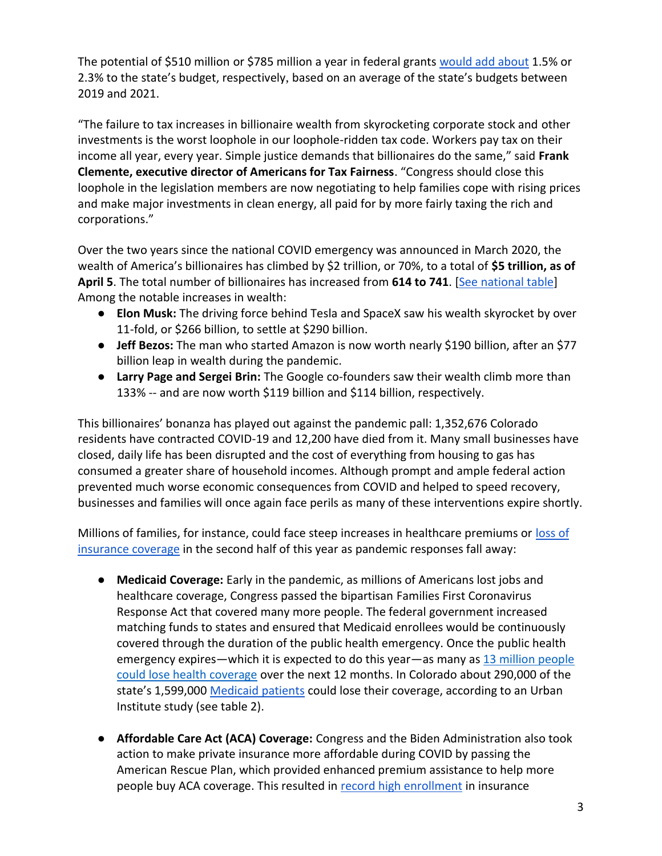The potential of \$510 million or \$785 million a year in federal grants [would add about](https://docs.google.com/spreadsheets/d/1uMGQ0_Ow8ssIrktfYIvIQZwB44zOHf82ILpvh5kzWUI/edit?usp=sharing) 1.5% or 2.3% to the state's budget, respectively, based on an average of the state's budgets between 2019 and 2021.

"The failure to tax increases in billionaire wealth from skyrocketing corporate stock and other investments is the worst loophole in our loophole-ridden tax code. Workers pay tax on their income all year, every year. Simple justice demands that billionaires do the same," said **Frank Clemente, executive director of Americans for Tax Fairness**. "Congress should close this loophole in the legislation members are now negotiating to help families cope with rising prices and make major investments in clean energy, all paid for by more fairly taxing the rich and corporations."

Over the two years since the national COVID emergency was announced in March 2020, the wealth of America's billionaires has climbed by \$2 trillion, or 70%, to a total of **\$5 trillion, as of April 5**. The total number of billionaires has increased from **614 to 741**. [\[See national table\]](https://docs.google.com/spreadsheets/d/1MksOhwmIojtZihAmPcfcYeaGoG3FOFZmiKUza1dIRD4/edit?usp=sharing) Among the notable increases in wealth:

- **Elon Musk:** The driving force behind Tesla and SpaceX saw his wealth skyrocket by over 11-fold, or \$266 billion, to settle at \$290 billion.
- **Jeff Bezos:** The man who started Amazon is now worth nearly \$190 billion, after an \$77 billion leap in wealth during the pandemic.
- **Larry Page and Sergei Brin:** The Google co-founders saw their wealth climb more than 133% -- and are now worth \$119 billion and \$114 billion, respectively.

This billionaires' bonanza has played out against the pandemic pall: 1,352,676 Colorado residents have contracted COVID-19 and 12,200 have died from it. Many small businesses have closed, daily life has been disrupted and the cost of everything from housing to gas has consumed a greater share of household incomes. Although prompt and ample federal action prevented much worse economic consequences from COVID and helped to speed recovery, businesses and families will once again face perils as many of these interventions expire shortly.

Millions of families, for instance, could face steep increases in healthcare premiums or loss of [insurance coverage](https://www.nytimes.com/2022/04/04/opinion/covid-medicaid-loss.html) in the second half of this year as pandemic responses fall away:

- **Medicaid Coverage:** Early in the pandemic, as millions of Americans lost jobs and healthcare coverage, Congress passed the bipartisan Families First Coronavirus Response Act that covered many more people. The federal government increased matching funds to states and ensured that Medicaid enrollees would be continuously covered through the duration of the public health emergency. Once the public health emergency expire[s](https://www.urban.org/sites/default/files/2022-03/what-will-happen-to-medicaid-enrollees-health-coverage-after-the-public-health-emergency_1_1.pdf)—which it is expected to do this year—as many as 13 million people [could lose health coverage](https://www.urban.org/sites/default/files/2022-03/what-will-happen-to-medicaid-enrollees-health-coverage-after-the-public-health-emergency_1_1.pdf) over the next 12 months. In Colorado about 290,000 of the state's 1,599,00[0](https://www.medicaid.gov/medicaid/program-information/medicaid-and-chip-enrollment-data/report-highlights/index.html) [Medicaid patients](https://www.medicaid.gov/medicaid/program-information/medicaid-and-chip-enrollment-data/report-highlights/index.html) could lose their coverage, according to an Urban Institute study (see table 2).
- **Affordable Care Act (ACA) Coverage:** Congress and the Biden Administration also took action to make private insurance more affordable during COVID by passing the American Rescue Plan, which provided enhanced premium assistance to help more people buy ACA coverage. This resulted i[n](https://www.whitehouse.gov/briefing-room/statements-releases/2022/03/10/during-week-of-anniversary-of-american-rescue-plan-biden-harris-administration-highlights-health-insurance-subsidies-that-promoted-critical-increases-in-enrollment-and-cost-savings/) [record high enrollment](https://www.whitehouse.gov/briefing-room/statements-releases/2022/03/10/during-week-of-anniversary-of-american-rescue-plan-biden-harris-administration-highlights-health-insurance-subsidies-that-promoted-critical-increases-in-enrollment-and-cost-savings/) in insurance